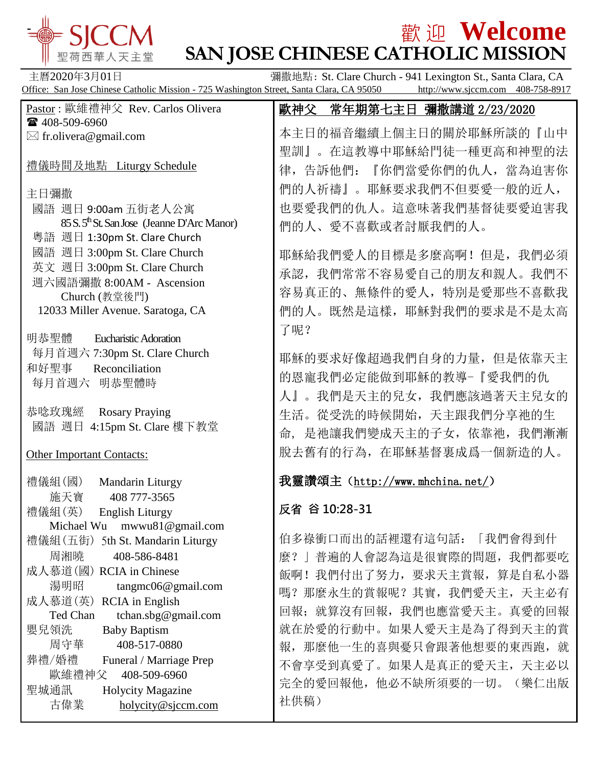

## **歡 迎 Welcome**

| 聖荷西華人天主堂                                                                                                                      | EA ZE O VOLUCILIU<br><b>SAN JOSE CHINESE CATHOLIC MISSION</b> |
|-------------------------------------------------------------------------------------------------------------------------------|---------------------------------------------------------------|
| 主曆2020年3月01日<br>彌撒地點: St. Clare Church - 941 Lexington St., Santa Clara, CA                                                   |                                                               |
| Office: San Jose Chinese Catholic Mission - 725 Washington Street, Santa Clara, CA 95050<br>http://www.sjccm.com 408-758-8917 |                                                               |
| Pastor: 歐維禮神父 Rev. Carlos Olivera                                                                                             | 歐神父 常年期第七主日 彌撒講道 2/23/2020                                    |
| ☎ 408-509-6960                                                                                                                | 本主日的福音繼續上個主日的關於耶穌所談的『山中                                       |
| $\boxtimes$ fr.olivera@gmail.com                                                                                              | 聖訓』。在這教導中耶穌給門徒一種更高和神聖的法                                       |
| 禮儀時間及地點 Liturgy Schedule                                                                                                      | 律, 告訴他們: 『你們當愛你們的仇人, 當為迫害你                                    |
| 主日彌撒                                                                                                                          | 們的人祈禱』。耶穌要求我們不但要愛一般的近人,                                       |
| 國語 週日 9:00am 五街老人公寓                                                                                                           | 也要愛我們的仇人。這意味著我們基督徒要愛迫害我                                       |
| 85 S. 5 <sup>th</sup> St. San Jose (Jeanne D'Arc Manor)                                                                       | 們的人、愛不喜歡或者討厭我們的人。                                             |
| 粵語 週日 1:30pm St. Clare Church                                                                                                 |                                                               |
| 國語 週日 3:00pm St. Clare Church                                                                                                 | 耶穌給我們愛人的目標是多麼高啊! 但是, 我們必須                                     |
| 英文 週日 3:00pm St. Clare Church                                                                                                 | 承認, 我們常常不容易愛自己的朋友和親人。我們不                                      |
| 週六國語彌撒 8:00AM - Ascension                                                                                                     | 容易真正的、無條件的愛人, 特別是愛那些不喜歡我                                      |
| Church (教堂後門)<br>12033 Miller Avenue. Saratoga, CA                                                                            | 們的人。既然是這樣, 耶穌對我們的要求是不是太高                                      |
|                                                                                                                               |                                                               |
| 明恭聖體<br><b>Eucharistic Adoration</b>                                                                                          | 了呢?                                                           |
| 每月首週六 7:30pm St. Clare Church                                                                                                 | 耶穌的要求好像超過我們自身的力量, 但是依靠天主                                      |
| 和好聖事<br>Reconciliation                                                                                                        |                                                               |
| 每月首週六 明恭聖體時                                                                                                                   | 的恩寵我們必定能做到耶穌的教導-『愛我們的仇                                        |
|                                                                                                                               | 人』。我們是天主的兒女,我們應該過著天主兒女的                                       |
| 恭唸玫瑰經<br><b>Rosary Praying</b>                                                                                                | 生活。從受洗的時候開始,天主跟我們分享祂的生                                        |
| 4:15pm St. Clare 樓下教堂<br>國語 週日                                                                                                | 是祂讓我們變成天主的子女, 依靠祂, 我們漸漸<br>命,                                 |
| <b>Other Important Contacts:</b>                                                                                              | 脫去舊有的行為, 在耶穌基督裏成爲一個新造的人。                                      |
|                                                                                                                               |                                                               |
| 禮儀組(國)<br>Mandarin Liturgy                                                                                                    | 我靈讚頌主 (http://www.mhchina.net/)                               |
| 施天寶<br>408 777-3565                                                                                                           |                                                               |
| 禮儀組(英)<br><b>English Liturgy</b>                                                                                              | 反省 谷 10:28-31                                                 |
| mwwu81@gmail.com<br>Michael Wu                                                                                                | 伯多祿衝口而出的話裡還有這句話: 「我們會得到什                                      |
| 禮儀組 (五街) 5th St. Mandarin Liturgy<br>周湘曉<br>408-586-8481                                                                      |                                                               |
| 成人慕道(國) RCIA in Chinese                                                                                                       | 」普遍的人會認為這是很實際的問題, 我們都要吃<br>麽?                                 |
| 湯明昭<br>tangmc06@gmail.com                                                                                                     | 飯啊! 我們付出了努力, 要求天主賞報, 算是自私小器                                   |
| 成人慕道(英) RCIA in English                                                                                                       | 嗎? 那麼永生的賞報呢? 其實, 我們愛天主, 天主必有                                  |
| tchan.sbg@gmail.com<br>Ted Chan                                                                                               | 回報; 就算沒有回報, 我們也應當愛天主。真愛的回報                                    |
| 嬰兒領洗<br><b>Baby Baptism</b>                                                                                                   | 就在於愛的行動中。如果人愛天主是為了得到天主的賞                                      |
| 408-517-0880<br>周守華                                                                                                           | 報, 那麼他一生的喜與憂只會跟著他想要的東西跑, 就                                    |
| 葬禮/婚禮<br>Funeral / Marriage Prep                                                                                              | 不會享受到真愛了。如果人是真正的愛天主, 天主必以                                     |
| 歐維禮神父<br>408-509-6960                                                                                                         | 完全的愛回報他, 他必不缺所須要的一切。<br>(樂仁出版                                 |
| 聖城通訊<br>Holycity Magazine                                                                                                     |                                                               |
| 古偉業<br>holycity@sjccm.com                                                                                                     | 社供稿)                                                          |